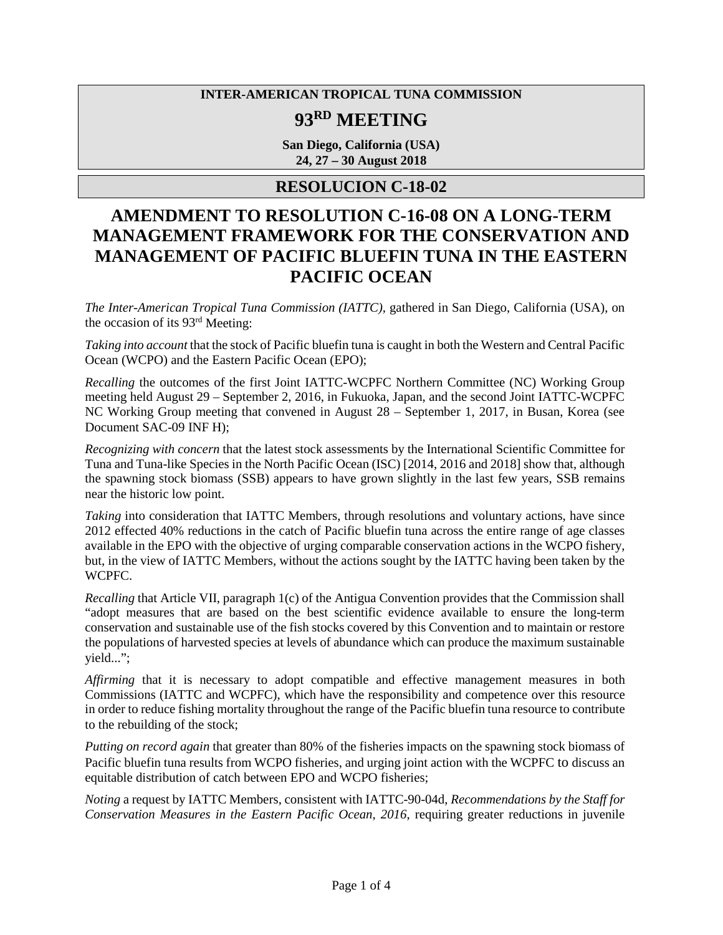### **INTER-AMERICAN TROPICAL TUNA COMMISSION**

# **93RD MEETING**

**San Diego, California (USA) 24, 27 – 30 August 2018**

### **RESOLUCION C-18-02**

## **AMENDMENT TO RESOLUTION C-16-08 ON A LONG-TERM MANAGEMENT FRAMEWORK FOR THE CONSERVATION AND MANAGEMENT OF PACIFIC BLUEFIN TUNA IN THE EASTERN PACIFIC OCEAN**

*The Inter-American Tropical Tuna Commission (IATTC),* gathered in San Diego, California (USA), on the occasion of its 93rd Meeting:

*Taking into account* that the stock of Pacific bluefin tuna is caught in both the Western and Central Pacific Ocean (WCPO) and the Eastern Pacific Ocean (EPO);

*Recalling* the outcomes of the first Joint IATTC-WCPFC Northern Committee (NC) Working Group meeting held August 29 – September 2, 2016, in Fukuoka, Japan, and the second Joint IATTC-WCPFC NC Working Group meeting that convened in August 28 – September 1, 2017, in Busan, Korea (see Document SAC-09 INF H);

*Recognizing with concern* that the latest stock assessments by the International Scientific Committee for Tuna and Tuna-like Species in the North Pacific Ocean (ISC) [2014, 2016 and 2018] show that, although the spawning stock biomass (SSB) appears to have grown slightly in the last few years, SSB remains near the historic low point.

*Taking* into consideration that IATTC Members, through resolutions and voluntary actions, have since 2012 effected 40% reductions in the catch of Pacific bluefin tuna across the entire range of age classes available in the EPO with the objective of urging comparable conservation actions in the WCPO fishery, but, in the view of IATTC Members, without the actions sought by the IATTC having been taken by the WCPFC.

*Recalling* that Article VII, paragraph 1(c) of the Antigua Convention provides that the Commission shall "adopt measures that are based on the best scientific evidence available to ensure the long-term conservation and sustainable use of the fish stocks covered by this Convention and to maintain or restore the populations of harvested species at levels of abundance which can produce the maximum sustainable yield...";

*Affirming* that it is necessary to adopt compatible and effective management measures in both Commissions (IATTC and WCPFC), which have the responsibility and competence over this resource in order to reduce fishing mortality throughout the range of the Pacific bluefin tuna resource to contribute to the rebuilding of the stock;

*Putting on record again* that greater than 80% of the fisheries impacts on the spawning stock biomass of Pacific bluefin tuna results from WCPO fisheries, and urging joint action with the WCPFC to discuss an equitable distribution of catch between EPO and WCPO fisheries;

*Noting* a request by IATTC Members, consistent with IATTC-90-04d, *Recommendations by the Staff for Conservation Measures in the Eastern Pacific Ocean, 2016, requiring greater reductions in juvenile*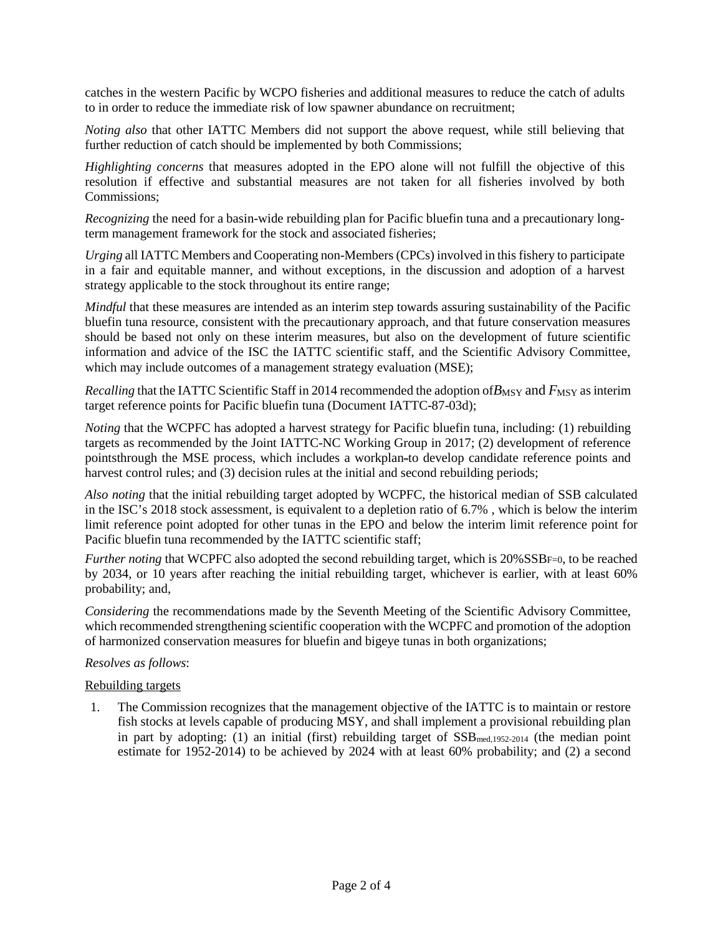catches in the western Pacific by WCPO fisheries and additional measures to reduce the catch of adults to in order to reduce the immediate risk of low spawner abundance on recruitment;

*Noting also* that other IATTC Members did not support the above request, while still believing that further reduction of catch should be implemented by both Commissions;

*Highlighting concerns* that measures adopted in the EPO alone will not fulfill the objective of this resolution if effective and substantial measures are not taken for all fisheries involved by both Commissions;

*Recognizing* the need for a basin-wide rebuilding plan for Pacific bluefin tuna and a precautionary longterm management framework for the stock and associated fisheries;

*Urging* all IATTC Members and Cooperating non-Members (CPCs) involved in this fishery to participate in a fair and equitable manner, and without exceptions, in the discussion and adoption of a harvest strategy applicable to the stock throughout its entire range;

*Mindful* that these measures are intended as an interim step towards assuring sustainability of the Pacific bluefin tuna resource, consistent with the precautionary approach, and that future conservation measures should be based not only on these interim measures, but also on the development of future scientific information and advice of the ISC the IATTC scientific staff, and the Scientific Advisory Committee, which may include outcomes of a management strategy evaluation (MSE);

*Recalling* that the IATTC Scientific Staff in 2014 recommended the adoption of  $B_{\text{MSY}}$  and  $F_{\text{MSY}}$  as interim target reference points for Pacific bluefin tuna (Document IATTC-87-03d);

*Noting* that the WCPFC has adopted a harvest strategy for Pacific bluefin tuna, including: (1) rebuilding targets as recommended by the Joint IATTC-NC Working Group in 2017; (2) development of reference pointsthrough the MSE process, which includes a workplan=to develop candidate reference points and harvest control rules; and (3) decision rules at the initial and second rebuilding periods;

*Also noting* that the initial rebuilding target adopted by WCPFC, the historical median of SSB calculated in the ISC's 2018 stock assessment, is equivalent to a depletion ratio of 6.7% , which is below the interim limit reference point adopted for other tunas in the EPO and below the interim limit reference point for Pacific bluefin tuna recommended by the IATTC scientific staff;

*Further noting* that WCPFC also adopted the second rebuilding target, which is 20%SSBF=0, to be reached by 2034, or 10 years after reaching the initial rebuilding target, whichever is earlier, with at least 60% probability; and,

*Considering* the recommendations made by the Seventh Meeting of the Scientific Advisory Committee, which recommended strengthening scientific cooperation with the WCPFC and promotion of the adoption of harmonized conservation measures for bluefin and bigeye tunas in both organizations;

#### *Resolves as follows*:

#### Rebuilding targets

1. The Commission recognizes that the management objective of the IATTC is to maintain or restore fish stocks at levels capable of producing MSY, and shall implement a provisional rebuilding plan in part by adopting: (1) an initial (first) rebuilding target of  $SSB_{med,1952-2014}$  (the median point estimate for 1952-2014) to be achieved by 2024 with at least 60% probability; and (2) a second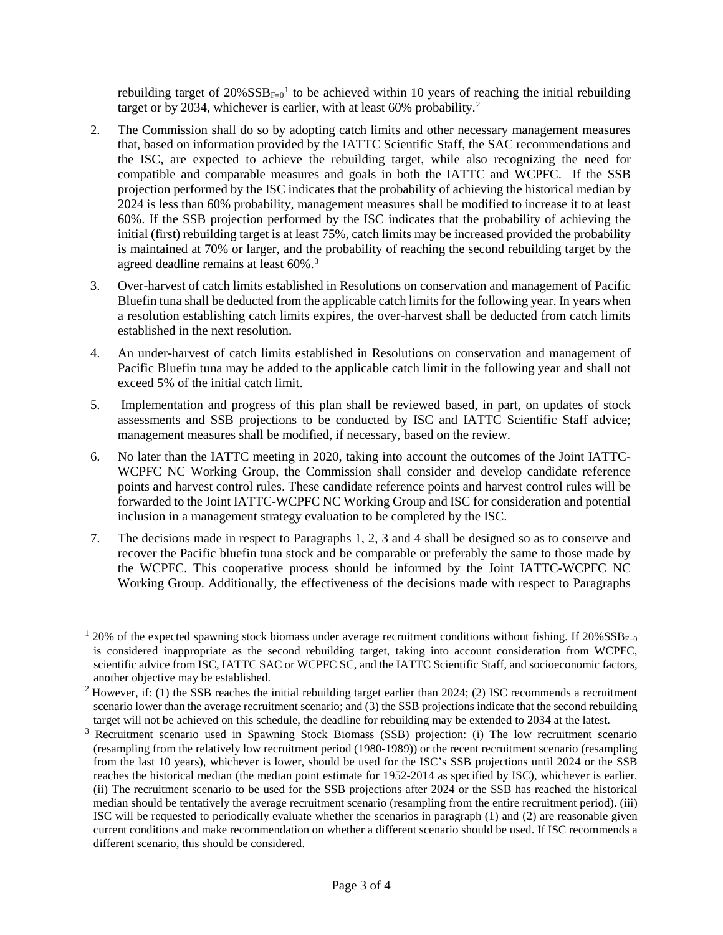rebuilding target of  $20\% SSB_{F=0}$ <sup>[1](#page-2-0)</sup> to be achieved within 10 years of reaching the initial rebuilding target or by [2](#page-2-1)034, whichever is earlier, with at least 60% probability.<sup>2</sup>

- 2. The Commission shall do so by adopting catch limits and other necessary management measures that, based on information provided by the IATTC Scientific Staff, the SAC recommendations and the ISC, are expected to achieve the rebuilding target, while also recognizing the need for compatible and comparable measures and goals in both the IATTC and WCPFC. If the SSB projection performed by the ISC indicates that the probability of achieving the historical median by 2024 is less than 60% probability, management measures shall be modified to increase it to at least 60%. If the SSB projection performed by the ISC indicates that the probability of achieving the initial (first) rebuilding target is at least 75%, catch limits may be increased provided the probability is maintained at 70% or larger, and the probability of reaching the second rebuilding target by the agreed deadline remains at least 60%[.3](#page-2-2)
- 3. Over-harvest of catch limits established in Resolutions on conservation and management of Pacific Bluefin tuna shall be deducted from the applicable catch limits for the following year. In years when a resolution establishing catch limits expires, the over-harvest shall be deducted from catch limits established in the next resolution.
- 4. An under-harvest of catch limits established in Resolutions on conservation and management of Pacific Bluefin tuna may be added to the applicable catch limit in the following year and shall not exceed 5% of the initial catch limit.
- 5. Implementation and progress of this plan shall be reviewed based, in part, on updates of stock assessments and SSB projections to be conducted by ISC and IATTC Scientific Staff advice; management measures shall be modified, if necessary, based on the review.
- 6. No later than the IATTC meeting in 2020, taking into account the outcomes of the Joint IATTC-WCPFC NC Working Group, the Commission shall consider and develop candidate reference points and harvest control rules. These candidate reference points and harvest control rules will be forwarded to the Joint IATTC-WCPFC NC Working Group and ISC for consideration and potential inclusion in a management strategy evaluation to be completed by the ISC.
- 7. The decisions made in respect to Paragraphs 1, 2, 3 and 4 shall be designed so as to conserve and recover the Pacific bluefin tuna stock and be comparable or preferably the same to those made by the WCPFC. This cooperative process should be informed by the Joint IATTC-WCPFC NC Working Group. Additionally, the effectiveness of the decisions made with respect to Paragraphs

<span id="page-2-2"></span><sup>3</sup> Recruitment scenario used in Spawning Stock Biomass (SSB) projection: (i) The low recruitment scenario (resampling from the relatively low recruitment period (1980-1989)) or the recent recruitment scenario (resampling from the last 10 years), whichever is lower, should be used for the ISC's SSB projections until 2024 or the SSB reaches the historical median (the median point estimate for 1952-2014 as specified by ISC), whichever is earlier. (ii) The recruitment scenario to be used for the SSB projections after 2024 or the SSB has reached the historical median should be tentatively the average recruitment scenario (resampling from the entire recruitment period). (iii) ISC will be requested to periodically evaluate whether the scenarios in paragraph (1) and (2) are reasonable given current conditions and make recommendation on whether a different scenario should be used. If ISC recommends a different scenario, this should be considered.

<span id="page-2-0"></span> $120\%$  of the expected spawning stock biomass under average recruitment conditions without fishing. If  $20\%SSB_{F=0}$ is considered inappropriate as the second rebuilding target, taking into account consideration from WCPFC, scientific advice from ISC, IATTC SAC or WCPFC SC, and the IATTC Scientific Staff, and socioeconomic factors, another objective may be established.

<span id="page-2-1"></span> $2$  However, if: (1) the SSB reaches the initial rebuilding target earlier than 2024; (2) ISC recommends a recruitment scenario lower than the average recruitment scenario; and (3) the SSB projections indicate that the second rebuilding target will not be achieved on this schedule, the deadline for rebuilding may be extended to 2034 at the latest.